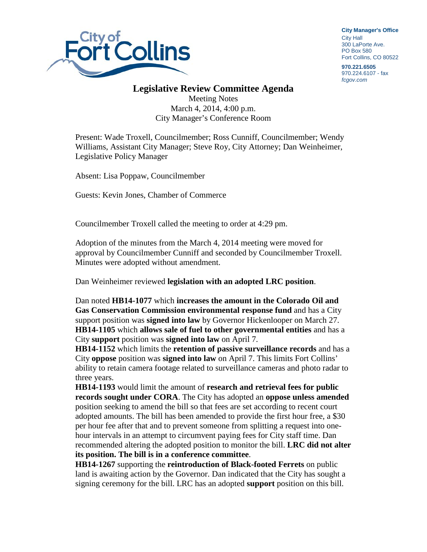

**City Manager**'**s Office** City Hall 300 LaPorte Ave. PO Box 580 Fort Collins, CO 80522

**970.221.6505** 970.224.6107 - fax *fcgov.com*

## **Legislative Review Committee Agenda**

Meeting Notes March 4, 2014, 4:00 p.m. City Manager's Conference Room

Present: Wade Troxell, Councilmember; Ross Cunniff, Councilmember; Wendy Williams, Assistant City Manager; Steve Roy, City Attorney; Dan Weinheimer, Legislative Policy Manager

Absent: Lisa Poppaw, Councilmember

Guests: Kevin Jones, Chamber of Commerce

Councilmember Troxell called the meeting to order at 4:29 pm.

Adoption of the minutes from the March 4, 2014 meeting were moved for approval by Councilmember Cunniff and seconded by Councilmember Troxell. Minutes were adopted without amendment.

Dan Weinheimer reviewed **legislation with an adopted LRC position**.

Dan noted **HB14-1077** which **increases the amount in the Colorado Oil and Gas Conservation Commission environmental response fund** and has a City support position was **signed into law** by Governor Hickenlooper on March 27. **HB14-1105** which **allows sale of fuel to other governmental entities** and has a City **support** position was **signed into law** on April 7.

**HB14-1152** which limits the **retention of passive surveillance records** and has a City **oppose** position was **signed into law** on April 7. This limits Fort Collins' ability to retain camera footage related to surveillance cameras and photo radar to three years.

**HB14-1193** would limit the amount of **research and retrieval fees for public records sought under CORA**. The City has adopted an **oppose unless amended**  position seeking to amend the bill so that fees are set according to recent court adopted amounts. The bill has been amended to provide the first hour free, a \$30 per hour fee after that and to prevent someone from splitting a request into onehour intervals in an attempt to circumvent paying fees for City staff time. Dan recommended altering the adopted position to monitor the bill. **LRC did not alter its position. The bill is in a conference committee**.

**HB14-1267** supporting the **reintroduction of Black-footed Ferrets** on public land is awaiting action by the Governor. Dan indicated that the City has sought a signing ceremony for the bill. LRC has an adopted **support** position on this bill.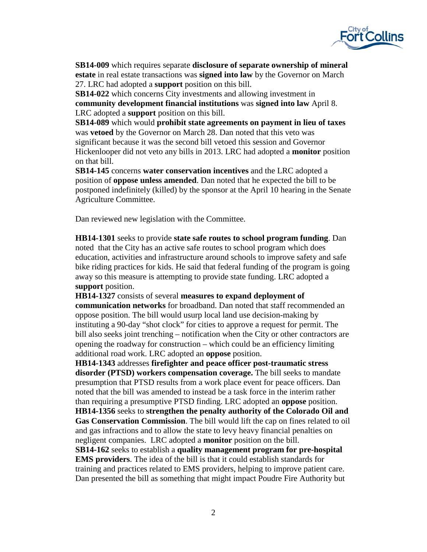

**SB14-009** which requires separate **disclosure of separate ownership of mineral estate** in real estate transactions was **signed into law** by the Governor on March 27. LRC had adopted a **support** position on this bill.

**SB14-022** which concerns City investments and allowing investment in **community development financial institutions** was **signed into law** April 8. LRC adopted a **support** position on this bill.

**SB14-089** which would **prohibit state agreements on payment in lieu of taxes** was **vetoed** by the Governor on March 28. Dan noted that this veto was significant because it was the second bill vetoed this session and Governor Hickenlooper did not veto any bills in 2013. LRC had adopted a **monitor** position on that bill.

**SB14-145** concerns **water conservation incentives** and the LRC adopted a position of **oppose unless amended**. Dan noted that he expected the bill to be postponed indefinitely (killed) by the sponsor at the April 10 hearing in the Senate Agriculture Committee.

Dan reviewed new legislation with the Committee.

**HB14-1301** seeks to provide **state safe routes to school program funding**. Dan noted that the City has an active safe routes to school program which does education, activities and infrastructure around schools to improve safety and safe bike riding practices for kids. He said that federal funding of the program is going away so this measure is attempting to provide state funding. LRC adopted a **support** position.

**HB14-1327** consists of several **measures to expand deployment of communication networks** for broadband. Dan noted that staff recommended an oppose position. The bill would usurp local land use decision-making by instituting a 90-day "shot clock" for cities to approve a request for permit. The bill also seeks joint trenching – notification when the City or other contractors are opening the roadway for construction – which could be an efficiency limiting additional road work. LRC adopted an **oppose** position.

**HB14-1343** addresses **firefighter and peace officer post-traumatic stress disorder (PTSD) workers compensation coverage.** The bill seeks to mandate presumption that PTSD results from a work place event for peace officers. Dan noted that the bill was amended to instead be a task force in the interim rather than requiring a presumptive PTSD finding. LRC adopted an **oppose** position. **HB14-1356** seeks to **strengthen the penalty authority of the Colorado Oil and** 

**Gas Conservation Commission**. The bill would lift the cap on fines related to oil and gas infractions and to allow the state to levy heavy financial penalties on negligent companies. LRC adopted a **monitor** position on the bill.

**SB14-162** seeks to establish a **quality management program for pre-hospital EMS providers**. The idea of the bill is that it could establish standards for training and practices related to EMS providers, helping to improve patient care. Dan presented the bill as something that might impact Poudre Fire Authority but